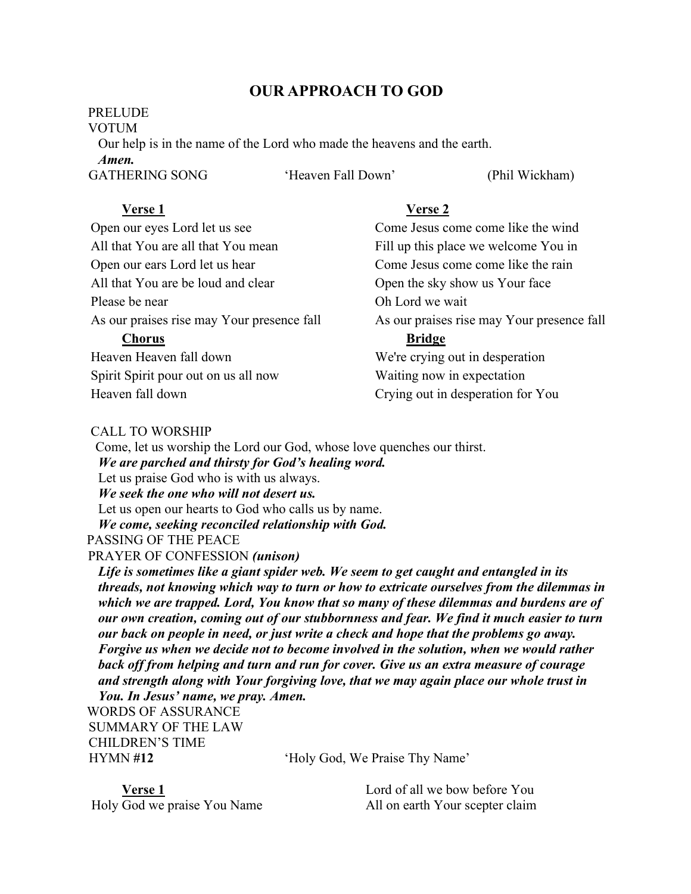# **OUR APPROACH TO GOD**

## **PRELUDE**

VOTUM

 Our help is in the name of the Lord who made the heavens and the earth. *Amen.*

GATHERING SONG 
'Heaven Fall Down' 
(Phil Wickham)

## **Verse 1**

Open our eyes Lord let us see All that You are all that You mean Open our ears Lord let us hear All that You are be loud and clear Please be near As our praises rise may Your presence fall **Chorus** Heaven Heaven fall down Spirit Spirit pour out on us all now

# **Verse 2**

Come Jesus come come like the wind Fill up this place we welcome You in Come Jesus come come like the rain Open the sky show us Your face Oh Lord we wait As our praises rise may Your presence fall **Bridge** We're crying out in desperation Waiting now in expectation

Crying out in desperation for You

## CALL TO WORSHIP

Heaven fall down

 Come, let us worship the Lord our God, whose love quenches our thirst. *We are parched and thirsty for God's healing word.* Let us praise God who is with us always. *We seek the one who will not desert us.* Let us open our hearts to God who calls us by name. *We come, seeking reconciled relationship with God.* PASSING OF THE PEACE PRAYER OF CONFESSION *(unison)* 

 *Life is sometimes like a giant spider web. We seem to get caught and entangled in its threads, not knowing which way to turn or how to extricate ourselves from the dilemmas in which we are trapped. Lord, You know that so many of these dilemmas and burdens are of our own creation, coming out of our stubbornness and fear. We find it much easier to turn our back on people in need, or just write a check and hope that the problems go away. Forgive us when we decide not to become involved in the solution, when we would rather back off from helping and turn and run for cover. Give us an extra measure of courage and strength along with Your forgiving love, that we may again place our whole trust in You. In Jesus' name, we pray. Amen.*

WORDS OF ASSURANCE SUMMARY OF THE LAW CHILDREN'S TIME

HYMN **#12** 'Holy God, We Praise Thy Name'

**Verse 1** Holy God we praise You Name Lord of all we bow before You All on earth Your scepter claim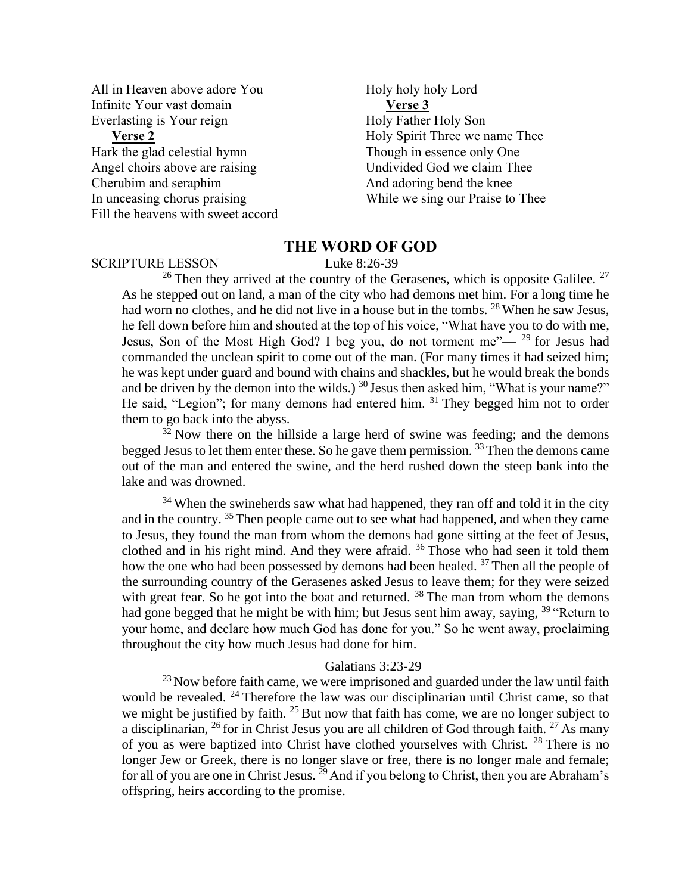All in Heaven above adore You Infinite Your vast domain Everlasting is Your reign

## **Verse 2**

 Hark the glad celestial hymn Angel choirs above are raising Cherubim and seraphim In unceasing chorus praising Fill the heavens with sweet accord

Holy holy holy Lord  **Verse 3** Holy Father Holy Son Holy Spirit Three we name Thee Though in essence only One Undivided God we claim Thee And adoring bend the knee While we sing our Praise to Thee

## **THE WORD OF GOD**

#### SCRIPTURE LESSON Luke 8:26-39

<sup>26</sup> Then they arrived at the country of the Gerasenes, which is opposite Galilee.<sup>27</sup> As he stepped out on land, a man of the city who had demons met him. For a long time he had worn no clothes, and he did not live in a house but in the tombs. <sup>28</sup> When he saw Jesus, he fell down before him and shouted at the top of his voice, "What have you to do with me, Jesus, Son of the Most High God? I beg you, do not torment me"— $29$  for Jesus had commanded the unclean spirit to come out of the man. (For many times it had seized him; he was kept under guard and bound with chains and shackles, but he would break the bonds and be driven by the demon into the wilds.)  $30$  Jesus then asked him, "What is your name?" He said, "Legion"; for many demons had entered him.  $31$  They begged him not to order them to go back into the abyss.

 $32$  Now there on the hillside a large herd of swine was feeding; and the demons begged Jesus to let them enter these. So he gave them permission.  $33$  Then the demons came out of the man and entered the swine, and the herd rushed down the steep bank into the lake and was drowned.

 $34$  When the swineherds saw what had happened, they ran off and told it in the city and in the country. <sup>35</sup> Then people came out to see what had happened, and when they came to Jesus, they found the man from whom the demons had gone sitting at the feet of Jesus, clothed and in his right mind. And they were afraid.  $36$  Those who had seen it told them how the one who had been possessed by demons had been healed.<sup>37</sup> Then all the people of the surrounding country of the Gerasenes asked Jesus to leave them; for they were seized with great fear. So he got into the boat and returned.  $38$  The man from whom the demons had gone begged that he might be with him; but Jesus sent him away, saying,  $39$  "Return to your home, and declare how much God has done for you." So he went away, proclaiming throughout the city how much Jesus had done for him.

#### Galatians 3:23-29

 $^{23}$  Now before faith came, we were imprisoned and guarded under the law until faith would be revealed.  $24$  Therefore the law was our disciplinarian until Christ came, so that we might be justified by faith.  $25$  But now that faith has come, we are no longer subject to a disciplinarian,  $^{26}$  for in Christ Jesus you are all children of God through faith.  $^{27}$  As many of you as were baptized into Christ have clothed yourselves with Christ.  $28$  There is no longer Jew or Greek, there is no longer slave or free, there is no longer male and female; for all of you are one in Christ Jesus.  $^{29}$  And if you belong to Christ, then you are Abraham's offspring, heirs according to the promise.